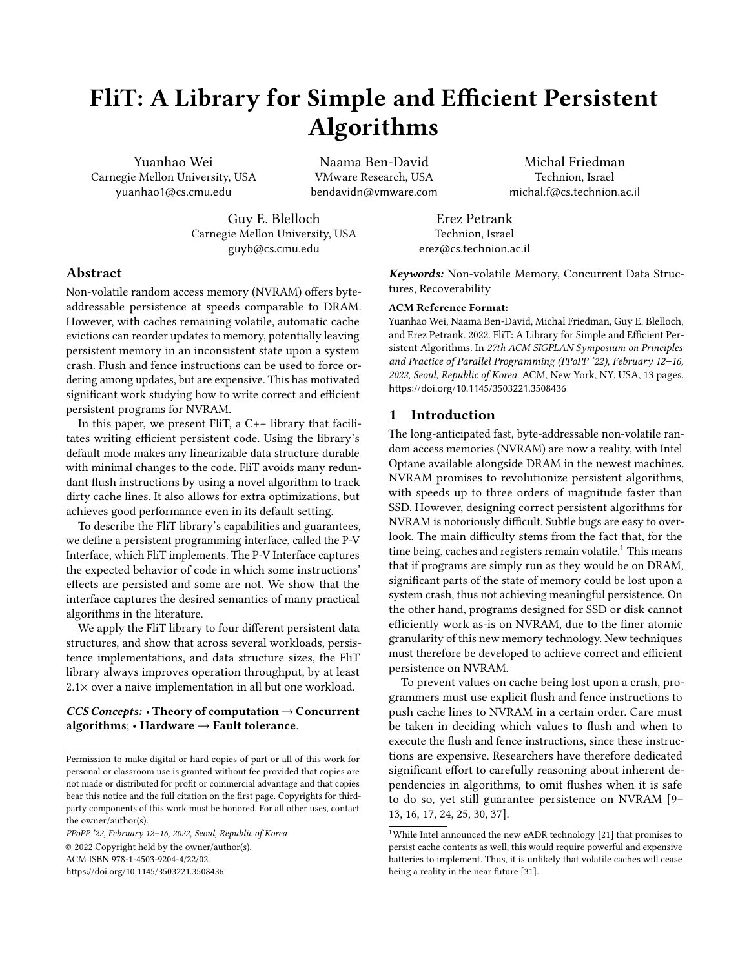# <span id="page-0-0"></span>FliT: A Library for Simple and Efficient Persistent Algorithms

Yuanhao Wei Carnegie Mellon University, USA yuanhao1@cs.cmu.edu

Naama Ben-David VMware Research, USA bendavidn@vmware.com

Guy E. Blelloch Carnegie Mellon University, USA guyb@cs.cmu.edu

Michal Friedman Technion, Israel michal.f@cs.technion.ac.il

Erez Petrank Technion, Israel erez@cs.technion.ac.il

# Abstract

Non-volatile random access memory (NVRAM) offers byteaddressable persistence at speeds comparable to DRAM. However, with caches remaining volatile, automatic cache evictions can reorder updates to memory, potentially leaving persistent memory in an inconsistent state upon a system crash. Flush and fence instructions can be used to force ordering among updates, but are expensive. This has motivated significant work studying how to write correct and efficient persistent programs for NVRAM.

In this paper, we present FliT, a C++ library that facilitates writing efficient persistent code. Using the library's default mode makes any linearizable data structure durable with minimal changes to the code. FliT avoids many redundant flush instructions by using a novel algorithm to track dirty cache lines. It also allows for extra optimizations, but achieves good performance even in its default setting.

To describe the FliT library's capabilities and guarantees, we define a persistent programming interface, called the P-V Interface, which FliT implements. The P-V Interface captures the expected behavior of code in which some instructions' effects are persisted and some are not. We show that the interface captures the desired semantics of many practical algorithms in the literature.

We apply the FliT library to four different persistent data structures, and show that across several workloads, persistence implementations, and data structure sizes, the FliT library always improves operation throughput, by at least 2.1× over a naive implementation in all but one workload.

#### $CCS$  Concepts: • Theory of computation  $\rightarrow$  Concurrent algorithms;  $\cdot$  Hardware  $\rightarrow$  Fault tolerance.

PPoPP '22, February 12–16, 2022, Seoul, Republic of Korea © 2022 Copyright held by the owner/author(s). ACM ISBN 978-1-4503-9204-4/22/02. <https://doi.org/10.1145/3503221.3508436>

Keywords: Non-volatile Memory, Concurrent Data Structures, Recoverability

#### ACM Reference Format:

Yuanhao Wei, Naama Ben-David, Michal Friedman, Guy E. Blelloch, and Erez Petrank. 2022. FliT: A Library for Simple and Efficient Persistent Algorithms. In 27th ACM SIGPLAN Symposium on Principles and Practice of Parallel Programming (PPoPP '22), February 12–16, 2022, Seoul, Republic of Korea. ACM, New York, NY, USA, [13](#page-0-0) pages. <https://doi.org/10.1145/3503221.3508436>

#### 1 Introduction

The long-anticipated fast, byte-addressable non-volatile random access memories (NVRAM) are now a reality, with Intel Optane available alongside DRAM in the newest machines. NVRAM promises to revolutionize persistent algorithms, with speeds up to three orders of magnitude faster than SSD. However, designing correct persistent algorithms for NVRAM is notoriously difficult. Subtle bugs are easy to overlook. The main difficulty stems from the fact that, for the time being, caches and registers remain volatile.<sup>[1](#page-0-1)</sup> This means that if programs are simply run as they would be on DRAM, significant parts of the state of memory could be lost upon a system crash, thus not achieving meaningful persistence. On the other hand, programs designed for SSD or disk cannot efficiently work as-is on NVRAM, due to the finer atomic granularity of this new memory technology. New techniques must therefore be developed to achieve correct and efficient persistence on NVRAM.

To prevent values on cache being lost upon a crash, programmers must use explicit flush and fence instructions to push cache lines to NVRAM in a certain order. Care must be taken in deciding which values to flush and when to execute the flush and fence instructions, since these instructions are expensive. Researchers have therefore dedicated significant effort to carefully reasoning about inherent dependencies in algorithms, to omit flushes when it is safe to do so, yet still guarantee persistence on NVRAM [\[9–](#page-10-0) [13,](#page-10-1) [16,](#page-10-2) [17,](#page-10-3) [24,](#page-11-0) [25,](#page-11-1) [30,](#page-11-2) [37\]](#page-11-3).

Permission to make digital or hard copies of part or all of this work for personal or classroom use is granted without fee provided that copies are not made or distributed for profit or commercial advantage and that copies bear this notice and the full citation on the first page. Copyrights for thirdparty components of this work must be honored. For all other uses, contact the owner/author(s).

<span id="page-0-1"></span><sup>&</sup>lt;sup>1</sup>While Intel announced the new eADR technology  $[21]$  that promises to persist cache contents as well, this would require powerful and expensive batteries to implement. Thus, it is unlikely that volatile caches will cease being a reality in the near future [\[31\]](#page-11-5).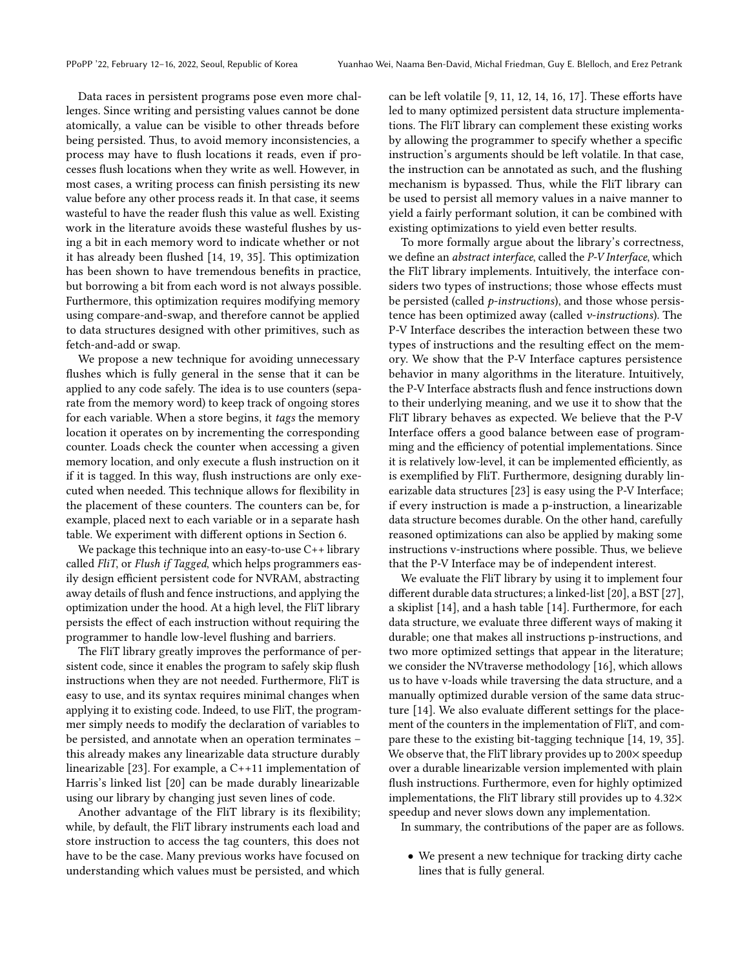Data races in persistent programs pose even more challenges. Since writing and persisting values cannot be done atomically, a value can be visible to other threads before being persisted. Thus, to avoid memory inconsistencies, a process may have to flush locations it reads, even if processes flush locations when they write as well. However, in most cases, a writing process can finish persisting its new value before any other process reads it. In that case, it seems wasteful to have the reader flush this value as well. Existing work in the literature avoids these wasteful flushes by using a bit in each memory word to indicate whether or not it has already been flushed [\[14,](#page-10-4) [19,](#page-11-6) [35\]](#page-11-7). This optimization has been shown to have tremendous benefits in practice, but borrowing a bit from each word is not always possible. Furthermore, this optimization requires modifying memory using compare-and-swap, and therefore cannot be applied to data structures designed with other primitives, such as fetch-and-add or swap.

We propose a new technique for avoiding unnecessary flushes which is fully general in the sense that it can be applied to any code safely. The idea is to use counters (separate from the memory word) to keep track of ongoing stores for each variable. When a store begins, it tags the memory location it operates on by incrementing the corresponding counter. Loads check the counter when accessing a given memory location, and only execute a flush instruction on it if it is tagged. In this way, flush instructions are only executed when needed. This technique allows for flexibility in the placement of these counters. The counters can be, for example, placed next to each variable or in a separate hash table. We experiment with different options in Section [6.](#page-6-0)

We package this technique into an easy-to-use C++ library called FliT, or Flush if Tagged, which helps programmers easily design efficient persistent code for NVRAM, abstracting away details of flush and fence instructions, and applying the optimization under the hood. At a high level, the FliT library persists the effect of each instruction without requiring the programmer to handle low-level flushing and barriers.

The FliT library greatly improves the performance of persistent code, since it enables the program to safely skip flush instructions when they are not needed. Furthermore, FliT is easy to use, and its syntax requires minimal changes when applying it to existing code. Indeed, to use FliT, the programmer simply needs to modify the declaration of variables to be persisted, and annotate when an operation terminates – this already makes any linearizable data structure durably linearizable [\[23\]](#page-11-8). For example, a C++11 implementation of Harris's linked list [\[20\]](#page-11-9) can be made durably linearizable using our library by changing just seven lines of code.

Another advantage of the FliT library is its flexibility; while, by default, the FliT library instruments each load and store instruction to access the tag counters, this does not have to be the case. Many previous works have focused on understanding which values must be persisted, and which

can be left volatile [\[9,](#page-10-0) [11,](#page-10-5) [12,](#page-10-6) [14,](#page-10-4) [16,](#page-10-2) [17\]](#page-10-3). These efforts have led to many optimized persistent data structure implementations. The FliT library can complement these existing works by allowing the programmer to specify whether a specific instruction's arguments should be left volatile. In that case, the instruction can be annotated as such, and the flushing mechanism is bypassed. Thus, while the FliT library can be used to persist all memory values in a naive manner to yield a fairly performant solution, it can be combined with existing optimizations to yield even better results.

To more formally argue about the library's correctness, we define an abstract interface, called the P-V Interface, which the FliT library implements. Intuitively, the interface considers two types of instructions; those whose effects must be persisted (called *p*-instructions), and those whose persistence has been optimized away (called v-instructions). The P-V Interface describes the interaction between these two types of instructions and the resulting effect on the memory. We show that the P-V Interface captures persistence behavior in many algorithms in the literature. Intuitively, the P-V Interface abstracts flush and fence instructions down to their underlying meaning, and we use it to show that the FliT library behaves as expected. We believe that the P-V Interface offers a good balance between ease of programming and the efficiency of potential implementations. Since it is relatively low-level, it can be implemented efficiently, as is exemplified by FliT. Furthermore, designing durably linearizable data structures [\[23\]](#page-11-8) is easy using the P-V Interface; if every instruction is made a p-instruction, a linearizable data structure becomes durable. On the other hand, carefully reasoned optimizations can also be applied by making some instructions v-instructions where possible. Thus, we believe that the P-V Interface may be of independent interest.

We evaluate the FliT library by using it to implement four different durable data structures; a linked-list [\[20\]](#page-11-9), a BST [\[27\]](#page-11-10), a skiplist [\[14\]](#page-10-4), and a hash table [\[14\]](#page-10-4). Furthermore, for each data structure, we evaluate three different ways of making it durable; one that makes all instructions p-instructions, and two more optimized settings that appear in the literature; we consider the NVtraverse methodology [\[16\]](#page-10-2), which allows us to have v-loads while traversing the data structure, and a manually optimized durable version of the same data structure [\[14\]](#page-10-4). We also evaluate different settings for the placement of the counters in the implementation of FliT, and compare these to the existing bit-tagging technique [\[14,](#page-10-4) [19,](#page-11-6) [35\]](#page-11-7). We observe that, the FliT library provides up to 200 $\times$  speedup over a durable linearizable version implemented with plain flush instructions. Furthermore, even for highly optimized implementations, the FliT library still provides up to 4.32× speedup and never slows down any implementation.

In summary, the contributions of the paper are as follows.

• We present a new technique for tracking dirty cache lines that is fully general.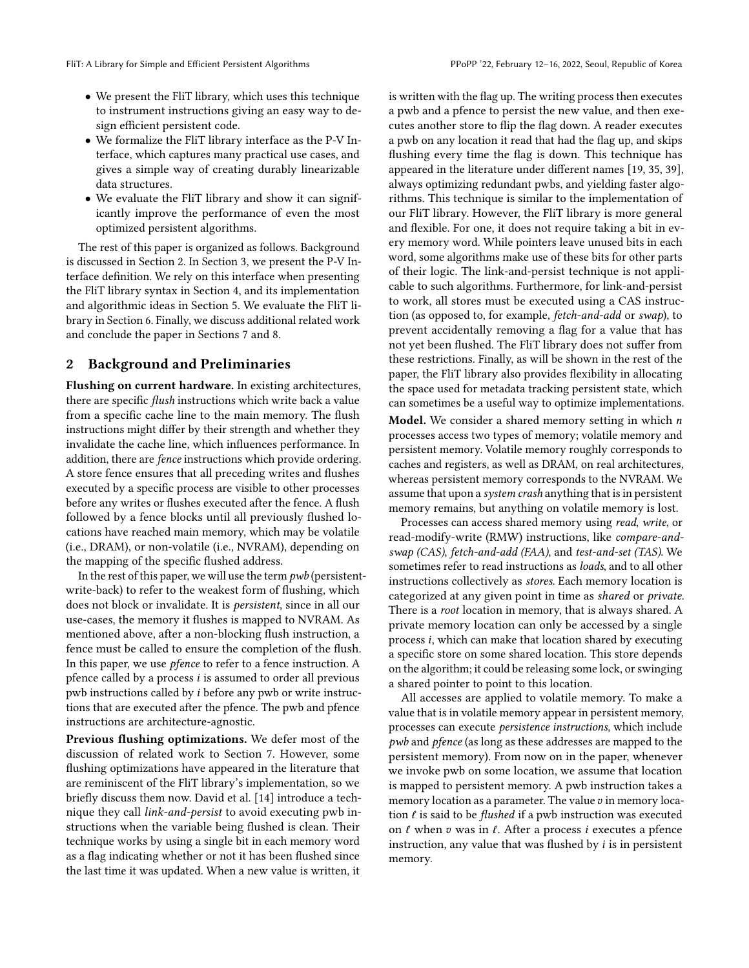- We present the FliT library, which uses this technique to instrument instructions giving an easy way to design efficient persistent code.
- We formalize the FliT library interface as the P-V Interface, which captures many practical use cases, and gives a simple way of creating durably linearizable data structures.
- We evaluate the FliT library and show it can significantly improve the performance of even the most optimized persistent algorithms.

The rest of this paper is organized as follows. Background is discussed in Section [2.](#page-2-0) In Section [3,](#page-3-0) we present the P-V Interface definition. We rely on this interface when presenting the FliT library syntax in Section [4,](#page-4-0) and its implementation and algorithmic ideas in Section [5.](#page-5-0) We evaluate the FliT library in Section [6.](#page-6-0) Finally, we discuss additional related work and conclude the paper in Sections [7](#page-8-0) and [8.](#page-10-7)

#### <span id="page-2-0"></span>2 Background and Preliminaries

Flushing on current hardware. In existing architectures, there are specific flush instructions which write back a value from a specific cache line to the main memory. The flush instructions might differ by their strength and whether they invalidate the cache line, which influences performance. In addition, there are fence instructions which provide ordering. A store fence ensures that all preceding writes and flushes executed by a specific process are visible to other processes before any writes or flushes executed after the fence. A flush followed by a fence blocks until all previously flushed locations have reached main memory, which may be volatile (i.e., DRAM), or non-volatile (i.e., NVRAM), depending on the mapping of the specific flushed address.

In the rest of this paper, we will use the term  $pwb$  (persistentwrite-back) to refer to the weakest form of flushing, which does not block or invalidate. It is persistent, since in all our use-cases, the memory it flushes is mapped to NVRAM. As mentioned above, after a non-blocking flush instruction, a fence must be called to ensure the completion of the flush. In this paper, we use pfence to refer to a fence instruction. A pfence called by a process  $i$  is assumed to order all previous pwb instructions called by  $i$  before any pwb or write instructions that are executed after the pfence. The pwb and pfence instructions are architecture-agnostic.

Previous flushing optimizations. We defer most of the discussion of related work to Section [7.](#page-8-0) However, some flushing optimizations have appeared in the literature that are reminiscent of the FliT library's implementation, so we briefly discuss them now. David et al. [\[14\]](#page-10-4) introduce a technique they call link-and-persist to avoid executing pwb instructions when the variable being flushed is clean. Their technique works by using a single bit in each memory word as a flag indicating whether or not it has been flushed since the last time it was updated. When a new value is written, it

is written with the flag up. The writing process then executes a pwb and a pfence to persist the new value, and then executes another store to flip the flag down. A reader executes a pwb on any location it read that had the flag up, and skips flushing every time the flag is down. This technique has appeared in the literature under different names [\[19,](#page-11-6) [35,](#page-11-7) [39\]](#page-11-11), always optimizing redundant pwbs, and yielding faster algorithms. This technique is similar to the implementation of our FliT library. However, the FliT library is more general and flexible. For one, it does not require taking a bit in every memory word. While pointers leave unused bits in each word, some algorithms make use of these bits for other parts of their logic. The link-and-persist technique is not applicable to such algorithms. Furthermore, for link-and-persist to work, all stores must be executed using a CAS instruction (as opposed to, for example, fetch-and-add or swap), to prevent accidentally removing a flag for a value that has not yet been flushed. The FliT library does not suffer from these restrictions. Finally, as will be shown in the rest of the paper, the FliT library also provides flexibility in allocating the space used for metadata tracking persistent state, which can sometimes be a useful way to optimize implementations.

**Model.** We consider a shared memory setting in which  $n$ processes access two types of memory; volatile memory and persistent memory. Volatile memory roughly corresponds to caches and registers, as well as DRAM, on real architectures, whereas persistent memory corresponds to the NVRAM. We assume that upon a system crash anything that is in persistent memory remains, but anything on volatile memory is lost.

Processes can access shared memory using read, write, or read-modify-write (RMW) instructions, like compare-andswap (CAS), fetch-and-add (FAA), and test-and-set (TAS). We sometimes refer to read instructions as loads, and to all other instructions collectively as stores. Each memory location is categorized at any given point in time as shared or private. There is a root location in memory, that is always shared. A private memory location can only be accessed by a single process  $i$ , which can make that location shared by executing a specific store on some shared location. This store depends on the algorithm; it could be releasing some lock, or swinging a shared pointer to point to this location.

All accesses are applied to volatile memory. To make a value that is in volatile memory appear in persistent memory, processes can execute persistence instructions, which include pwb and pfence (as long as these addresses are mapped to the persistent memory). From now on in the paper, whenever we invoke pwb on some location, we assume that location is mapped to persistent memory. A pwb instruction takes a memory location as a parameter. The value  $v$  in memory location  $\ell$  is said to be *flushed* if a pwb instruction was executed on  $\ell$  when  $v$  was in  $\ell$ . After a process *i* executes a pfence instruction, any value that was flushed by  $i$  is in persistent memory.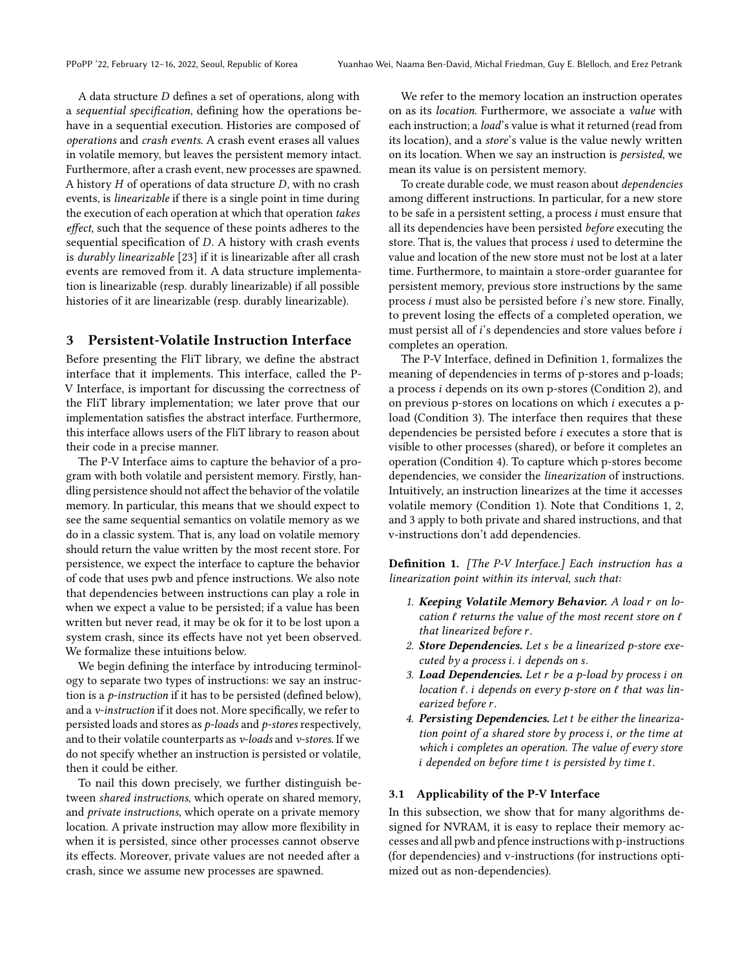A data structure  $D$  defines a set of operations, along with a sequential specification, defining how the operations behave in a sequential execution. Histories are composed of operations and crash events. A crash event erases all values in volatile memory, but leaves the persistent memory intact. Furthermore, after a crash event, new processes are spawned. A history  $H$  of operations of data structure  $D$ , with no crash events, is linearizable if there is a single point in time during the execution of each operation at which that operation takes effect, such that the sequence of these points adheres to the sequential specification of  $D$ . A history with crash events is durably linearizable [\[23\]](#page-11-8) if it is linearizable after all crash events are removed from it. A data structure implementation is linearizable (resp. durably linearizable) if all possible histories of it are linearizable (resp. durably linearizable).

#### <span id="page-3-0"></span>3 Persistent-Volatile Instruction Interface

Before presenting the FliT library, we define the abstract interface that it implements. This interface, called the P-V Interface, is important for discussing the correctness of the FliT library implementation; we later prove that our implementation satisfies the abstract interface. Furthermore, this interface allows users of the FliT library to reason about their code in a precise manner.

The P-V Interface aims to capture the behavior of a program with both volatile and persistent memory. Firstly, handling persistence should not affect the behavior of the volatile memory. In particular, this means that we should expect to see the same sequential semantics on volatile memory as we do in a classic system. That is, any load on volatile memory should return the value written by the most recent store. For persistence, we expect the interface to capture the behavior of code that uses pwb and pfence instructions. We also note that dependencies between instructions can play a role in when we expect a value to be persisted; if a value has been written but never read, it may be ok for it to be lost upon a system crash, since its effects have not yet been observed. We formalize these intuitions below.

We begin defining the interface by introducing terminology to separate two types of instructions: we say an instruction is a p-instruction if it has to be persisted (defined below), and a v-instruction if it does not. More specifically, we refer to persisted loads and stores as p-loads and p-stores respectively, and to their volatile counterparts as  $v$ -loads and  $v$ -stores. If we do not specify whether an instruction is persisted or volatile, then it could be either.

To nail this down precisely, we further distinguish between shared instructions, which operate on shared memory, and private instructions, which operate on a private memory location. A private instruction may allow more flexibility in when it is persisted, since other processes cannot observe its effects. Moreover, private values are not needed after a crash, since we assume new processes are spawned.

We refer to the memory location an instruction operates on as its location. Furthermore, we associate a value with each instruction; a *load*'s value is what it returned (read from its location), and a store's value is the value newly written on its location. When we say an instruction is persisted, we mean its value is on persistent memory.

To create durable code, we must reason about dependencies among different instructions. In particular, for a new store to be safe in a persistent setting, a process  $i$  must ensure that all its dependencies have been persisted before executing the store. That is, the values that process  $i$  used to determine the value and location of the new store must not be lost at a later time. Furthermore, to maintain a store-order guarantee for persistent memory, previous store instructions by the same process  $i$  must also be persisted before  $i$ 's new store. Finally, to prevent losing the effects of a completed operation, we must persist all of  $i$ 's dependencies and store values before  $i$ completes an operation.

The P-V Interface, defined in Definition [1,](#page-3-1) formalizes the meaning of dependencies in terms of p-stores and p-loads; a process *i* depends on its own p-stores (Condition [2\)](#page-3-2), and on previous p-stores on locations on which  $i$  executes a pload (Condition [3\)](#page-3-3). The interface then requires that these dependencies be persisted before  $i$  executes a store that is visible to other processes (shared), or before it completes an operation (Condition [4\)](#page-3-4). To capture which p-stores become dependencies, we consider the linearization of instructions. Intuitively, an instruction linearizes at the time it accesses volatile memory (Condition [1\)](#page-3-5). Note that Conditions [1,](#page-3-5) [2,](#page-3-2) and [3](#page-3-3) apply to both private and shared instructions, and that v-instructions don't add dependencies.

<span id="page-3-1"></span>Definition 1. [The P-V Interface.] Each instruction has a linearization point within its interval, such that:

- <span id="page-3-5"></span>1. Keeping Volatile Memory Behavior. A load  $r$  on location  $\ell$  returns the value of the most recent store on  $\ell$ that linearized before r.
- <span id="page-3-2"></span>2. Store Dependencies. Let  $s$  be a linearized p-store executed by a process  $i$ .  $i$  depends on  $s$ .
- <span id="page-3-3"></span>3. Load Dependencies. Let  $r$  be a p-load by process  $i$  on location  $\ell$ . *i* depends on every p-store on  $\ell$  that was linearized before r.
- <span id="page-3-4"></span>4. Persisting Dependencies. Let t be either the linearization point of a shared store by process  $i$ , or the time at which *i* completes an operation. The value of every store  $i$  depended on before time  $t$  is persisted by time  $t$ .

#### <span id="page-3-6"></span>3.1 Applicability of the P-V Interface

In this subsection, we show that for many algorithms designed for NVRAM, it is easy to replace their memory accesses and all pwb and pfence instructions with p-instructions (for dependencies) and v-instructions (for instructions optimized out as non-dependencies).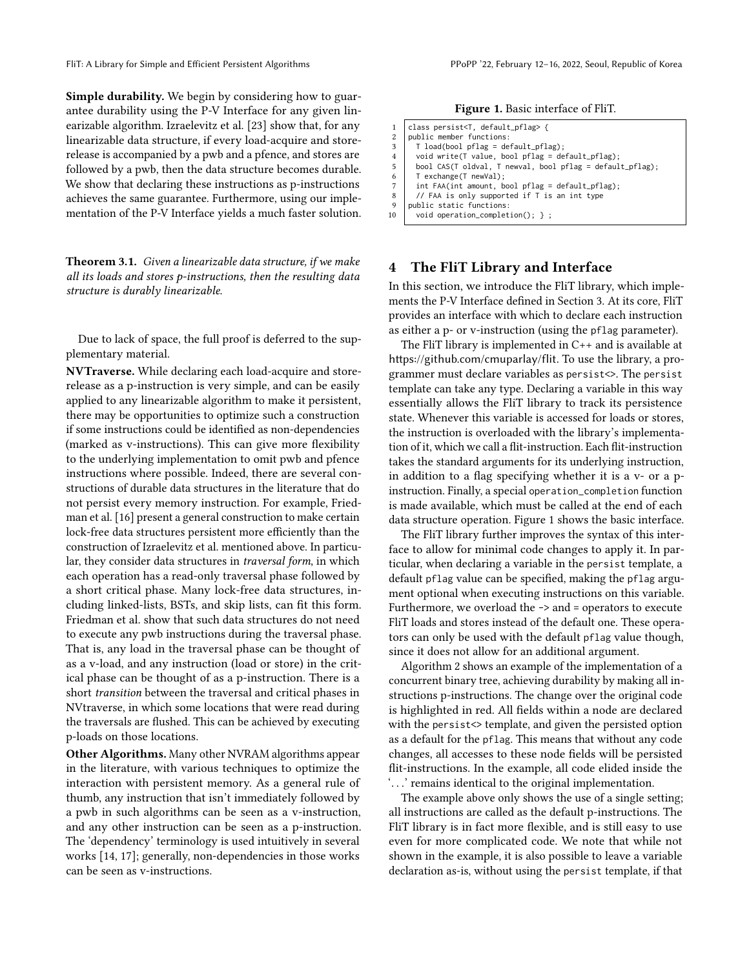Simple durability. We begin by considering how to guarantee durability using the P-V Interface for any given linearizable algorithm. Izraelevitz et al. [\[23\]](#page-11-8) show that, for any linearizable data structure, if every load-acquire and storerelease is accompanied by a pwb and a pfence, and stores are followed by a pwb, then the data structure becomes durable. We show that declaring these instructions as p-instructions achieves the same guarantee. Furthermore, using our implementation of the P-V Interface yields a much faster solution.

Theorem 3.1. Given a linearizable data structure, if we make all its loads and stores p-instructions, then the resulting data structure is durably linearizable.

Due to lack of space, the full proof is deferred to the supplementary material.

NVTraverse. While declaring each load-acquire and storerelease as a p-instruction is very simple, and can be easily applied to any linearizable algorithm to make it persistent, there may be opportunities to optimize such a construction if some instructions could be identified as non-dependencies (marked as v-instructions). This can give more flexibility to the underlying implementation to omit pwb and pfence instructions where possible. Indeed, there are several constructions of durable data structures in the literature that do not persist every memory instruction. For example, Friedman et al. [\[16\]](#page-10-2) present a general construction to make certain lock-free data structures persistent more efficiently than the construction of Izraelevitz et al. mentioned above. In particular, they consider data structures in traversal form, in which each operation has a read-only traversal phase followed by a short critical phase. Many lock-free data structures, including linked-lists, BSTs, and skip lists, can fit this form. Friedman et al. show that such data structures do not need to execute any pwb instructions during the traversal phase. That is, any load in the traversal phase can be thought of as a v-load, and any instruction (load or store) in the critical phase can be thought of as a p-instruction. There is a short transition between the traversal and critical phases in NVtraverse, in which some locations that were read during the traversals are flushed. This can be achieved by executing p-loads on those locations.

Other Algorithms. Many other NVRAM algorithms appear in the literature, with various techniques to optimize the interaction with persistent memory. As a general rule of thumb, any instruction that isn't immediately followed by a pwb in such algorithms can be seen as a v-instruction, and any other instruction can be seen as a p-instruction. The 'dependency' terminology is used intuitively in several works [\[14,](#page-10-4) [17\]](#page-10-3); generally, non-dependencies in those works can be seen as v-instructions.

Figure 1. Basic interface of FliT.

| 1              | class persist <t, default_pflag=""> {</t,>                |
|----------------|-----------------------------------------------------------|
| $\overline{c}$ | public member functions:                                  |
| 3              | $T$ load(bool pflag = default_pflag);                     |
| $\overline{4}$ | void write(T value, bool $pflag = default_pflag$ );       |
| 5              | bool CAS(T oldval, T newval, bool pflag = default_pflag); |
| 6              | T exchange(T newVal);                                     |
| $\overline{7}$ | int FAA(int amount, bool pflag = default_pflag);          |
| 8              | // FAA is only supported if T is an int type              |
| 9              | public static functions:                                  |

<span id="page-4-1"></span>10 | void operation\_completion(); } ;

#### <span id="page-4-0"></span>4 The FliT Library and Interface

In this section, we introduce the FliT library, which implements the P-V Interface defined in Section [3.](#page-3-0) At its core, FliT provides an interface with which to declare each instruction as either a p- or v-instruction (using the pflag parameter).

The FliT library is implemented in C++ and is available at <https://github.com/cmuparlay/flit>. To use the library, a programmer must declare variables as persist<>. The persist template can take any type. Declaring a variable in this way essentially allows the FliT library to track its persistence state. Whenever this variable is accessed for loads or stores, the instruction is overloaded with the library's implementation of it, which we call a flit-instruction. Each flit-instruction takes the standard arguments for its underlying instruction, in addition to a flag specifying whether it is a v- or a pinstruction. Finally, a special operation\_completion function is made available, which must be called at the end of each data structure operation. Figure [1](#page-4-1) shows the basic interface.

The FliT library further improves the syntax of this interface to allow for minimal code changes to apply it. In particular, when declaring a variable in the persist template, a default pflag value can be specified, making the pflag argument optional when executing instructions on this variable. Furthermore, we overload the -> and = operators to execute FliT loads and stores instead of the default one. These operators can only be used with the default pflag value though, since it does not allow for an additional argument.

Algorithm [2](#page-5-1) shows an example of the implementation of a concurrent binary tree, achieving durability by making all instructions p-instructions. The change over the original code is highlighted in red. All fields within a node are declared with the persist<> template, and given the persisted option as a default for the pflag. This means that without any code changes, all accesses to these node fields will be persisted flit-instructions. In the example, all code elided inside the '. . .' remains identical to the original implementation.

The example above only shows the use of a single setting; all instructions are called as the default p-instructions. The FliT library is in fact more flexible, and is still easy to use even for more complicated code. We note that while not shown in the example, it is also possible to leave a variable declaration as-is, without using the persist template, if that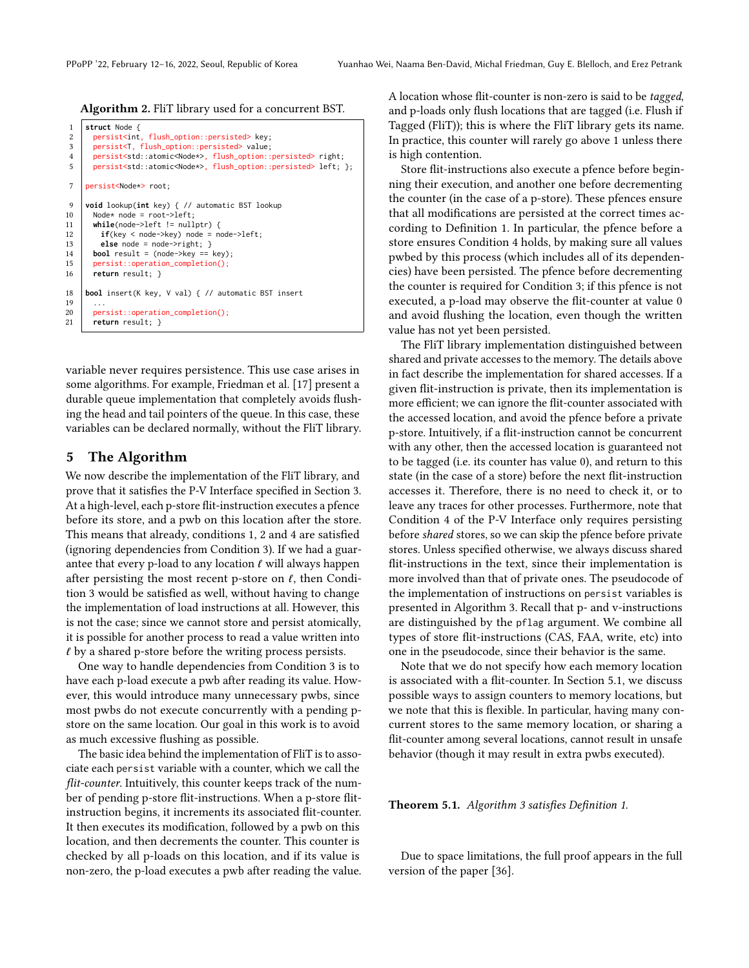```
Algorithm 2. FliT library used for a concurrent BST.
```

```
1 struct Node {
2 persist<int, flush_option::persisted> key;<br>3 persist<t flush_option::persisted> value:
        3 persist<T, flush_option::persisted> value;
4 persist<std::atomic<Node*>, flush_option::persisted> right;<br>5 persist<std::atomic<Node*> flush_option::persisted> left:
        persist<std::atomic<Node*>, flush_option::persisted> left; };
7 persist<Node*> root;
9 void lookup(int key) { // automatic BST lookup
10 Node* node = root->left;<br>11 while(node->left != null
        while(node->left != nullptr) {
12 if(key < node-&gt;key) node = node-\geq left;<br>13 else node = node-\geq right: \}else node = node->right; }14 bool result = (node->key == key);
15 persist::operation_completion();<br>16 return result: }
        return result; }
18 bool insert(K key, V val) { // automatic BST insert
19
20 persist::operation_completion();<br>21 return result: }
        return result; }
```
<span id="page-5-1"></span>variable never requires persistence. This use case arises in some algorithms. For example, Friedman et al. [\[17\]](#page-10-3) present a durable queue implementation that completely avoids flushing the head and tail pointers of the queue. In this case, these variables can be declared normally, without the FliT library.

#### <span id="page-5-0"></span>5 The Algorithm

We now describe the implementation of the FliT library, and prove that it satisfies the P-V Interface specified in Section [3.](#page-3-0) At a high-level, each p-store flit-instruction executes a pfence before its store, and a pwb on this location after the store. This means that already, conditions [1,](#page-3-5) [2](#page-3-2) and [4](#page-3-4) are satisfied (ignoring dependencies from Condition [3\)](#page-3-3). If we had a guarantee that every p-load to any location  $\ell$  will always happen after persisting the most recent p-store on  $\ell$ , then Condition [3](#page-3-3) would be satisfied as well, without having to change the implementation of load instructions at all. However, this is not the case; since we cannot store and persist atomically, it is possible for another process to read a value written into  $\ell$  by a shared p-store before the writing process persists.

One way to handle dependencies from Condition [3](#page-3-3) is to have each p-load execute a pwb after reading its value. However, this would introduce many unnecessary pwbs, since most pwbs do not execute concurrently with a pending pstore on the same location. Our goal in this work is to avoid as much excessive flushing as possible.

The basic idea behind the implementation of FliT is to associate each persist variable with a counter, which we call the flit-counter. Intuitively, this counter keeps track of the number of pending p-store flit-instructions. When a p-store flitinstruction begins, it increments its associated flit-counter. It then executes its modification, followed by a pwb on this location, and then decrements the counter. This counter is checked by all p-loads on this location, and if its value is non-zero, the p-load executes a pwb after reading the value. A location whose flit-counter is non-zero is said to be tagged, and p-loads only flush locations that are tagged (i.e. Flush if Tagged (FliT)); this is where the FliT library gets its name. In practice, this counter will rarely go above 1 unless there is high contention.

Store flit-instructions also execute a pfence before beginning their execution, and another one before decrementing the counter (in the case of a p-store). These pfences ensure that all modifications are persisted at the correct times according to Definition [1.](#page-3-1) In particular, the pfence before a store ensures Condition [4](#page-3-4) holds, by making sure all values pwbed by this process (which includes all of its dependencies) have been persisted. The pfence before decrementing the counter is required for Condition [3;](#page-3-3) if this pfence is not executed, a p-load may observe the flit-counter at value 0 and avoid flushing the location, even though the written value has not yet been persisted.

The FliT library implementation distinguished between shared and private accesses to the memory. The details above in fact describe the implementation for shared accesses. If a given flit-instruction is private, then its implementation is more efficient; we can ignore the flit-counter associated with the accessed location, and avoid the pfence before a private p-store. Intuitively, if a flit-instruction cannot be concurrent with any other, then the accessed location is guaranteed not to be tagged (i.e. its counter has value 0), and return to this state (in the case of a store) before the next flit-instruction accesses it. Therefore, there is no need to check it, or to leave any traces for other processes. Furthermore, note that Condition [4](#page-3-4) of the P-V Interface only requires persisting before shared stores, so we can skip the pfence before private stores. Unless specified otherwise, we always discuss shared flit-instructions in the text, since their implementation is more involved than that of private ones. The pseudocode of the implementation of instructions on persist variables is presented in Algorithm [3.](#page-6-1) Recall that p- and v-instructions are distinguished by the pflag argument. We combine all types of store flit-instructions (CAS, FAA, write, etc) into one in the pseudocode, since their behavior is the same.

Note that we do not specify how each memory location is associated with a flit-counter. In Section [5.1,](#page-6-2) we discuss possible ways to assign counters to memory locations, but we note that this is flexible. In particular, having many concurrent stores to the same memory location, or sharing a flit-counter among several locations, cannot result in unsafe behavior (though it may result in extra pwbs executed).

Theorem 5.1. Algorithm [3](#page-6-1) satisfies Definition [1.](#page-3-1)

Due to space limitations, the full proof appears in the full version of the paper [\[36\]](#page-11-12).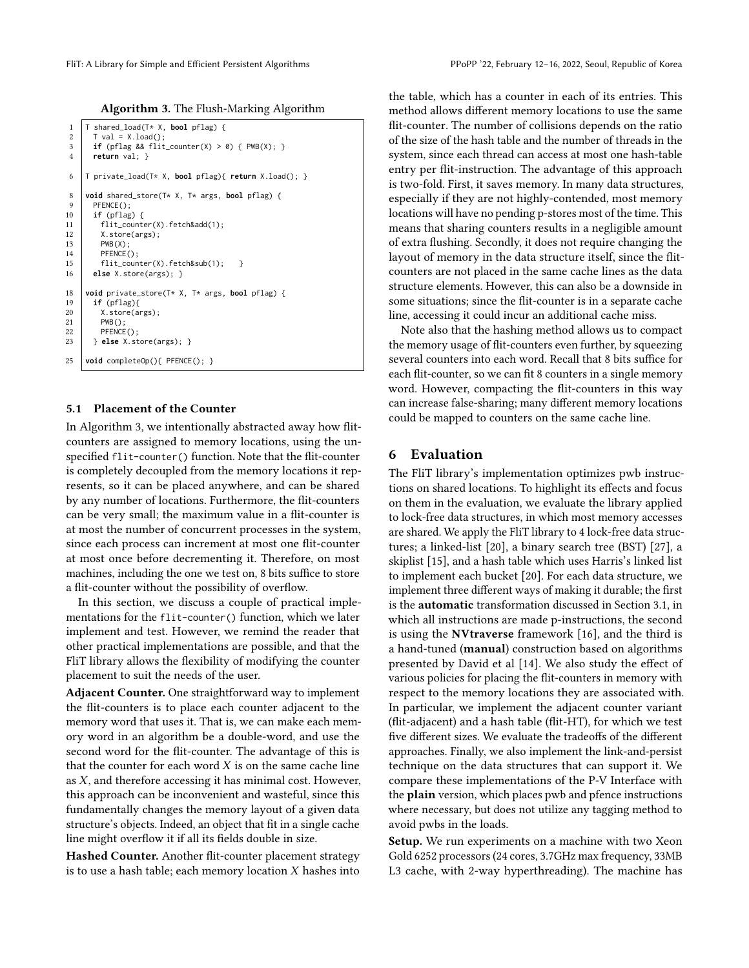Algorithm 3. The Flush-Marking Algorithm

```
1 \mid T \text{ shared\_load}(T \star X, \text{ bool pflag})\begin{array}{c|c} 2 & \text{I val} = \text{X.load}(); \\ 3 & \text{if (nflag & R f lit)} \end{array}if (pflag && flit_counter(X) > 0) { PWB(X); }
 4 return val; }
 6 T private_load(T* X, bool pflag){ return X.load(); }
 8 void shared_store(T* X, T* args, bool pflag) {
\begin{array}{c|c} 9 & \text{PFENCE}(); \\ 10 & \text{if (pflag)} \end{array}10 if (pflag) {
             flit_counter(X).fetch&add(1);
12 X. \text{store(args)};<br>13 \text{PWB(X)}:
            PWB(X);14 PFENCE();
15 \left\{\n \begin{array}{c}\n \text{filt\_counter(X). fetch\&sub(1)};\n \text{else X. store(args): }\n \end{array}\n\right\}else X.store(args); }
18 void private_store(T* X, T* args, bool pflag) {
          if (pflag){
\begin{array}{c|c} 20 & X.\,\text{store(args)}; \\ 21 & \text{PWB()}: \end{array}PWB();
22 PFENCE();<br>23 PESE X.st
          23 } else X.store(args); }
25 void completeOp(){ PFENCE(); }
```
#### <span id="page-6-2"></span><span id="page-6-1"></span>5.1 Placement of the Counter

In Algorithm [3,](#page-6-1) we intentionally abstracted away how flitcounters are assigned to memory locations, using the unspecified flit-counter() function. Note that the flit-counter is completely decoupled from the memory locations it represents, so it can be placed anywhere, and can be shared by any number of locations. Furthermore, the flit-counters can be very small; the maximum value in a flit-counter is at most the number of concurrent processes in the system, since each process can increment at most one flit-counter at most once before decrementing it. Therefore, on most machines, including the one we test on, 8 bits suffice to store a flit-counter without the possibility of overflow.

In this section, we discuss a couple of practical implementations for the flit-counter() function, which we later implement and test. However, we remind the reader that other practical implementations are possible, and that the FliT library allows the flexibility of modifying the counter placement to suit the needs of the user.

Adjacent Counter. One straightforward way to implement the flit-counters is to place each counter adjacent to the memory word that uses it. That is, we can make each memory word in an algorithm be a double-word, and use the second word for the flit-counter. The advantage of this is that the counter for each word  $X$  is on the same cache line as  $X$ , and therefore accessing it has minimal cost. However, this approach can be inconvenient and wasteful, since this fundamentally changes the memory layout of a given data structure's objects. Indeed, an object that fit in a single cache line might overflow it if all its fields double in size.

Hashed Counter. Another flit-counter placement strategy is to use a hash table; each memory location  $X$  hashes into

the table, which has a counter in each of its entries. This method allows different memory locations to use the same flit-counter. The number of collisions depends on the ratio of the size of the hash table and the number of threads in the system, since each thread can access at most one hash-table entry per flit-instruction. The advantage of this approach is two-fold. First, it saves memory. In many data structures, especially if they are not highly-contended, most memory locations will have no pending p-stores most of the time. This means that sharing counters results in a negligible amount of extra flushing. Secondly, it does not require changing the layout of memory in the data structure itself, since the flitcounters are not placed in the same cache lines as the data structure elements. However, this can also be a downside in some situations; since the flit-counter is in a separate cache line, accessing it could incur an additional cache miss.

Note also that the hashing method allows us to compact the memory usage of flit-counters even further, by squeezing several counters into each word. Recall that 8 bits suffice for each flit-counter, so we can fit 8 counters in a single memory word. However, compacting the flit-counters in this way can increase false-sharing; many different memory locations could be mapped to counters on the same cache line.

## <span id="page-6-0"></span>6 Evaluation

The FliT library's implementation optimizes pwb instructions on shared locations. To highlight its effects and focus on them in the evaluation, we evaluate the library applied to lock-free data structures, in which most memory accesses are shared. We apply the FliT library to 4 lock-free data structures; a linked-list [\[20\]](#page-11-9), a binary search tree (BST) [\[27\]](#page-11-10), a skiplist [\[15\]](#page-10-8), and a hash table which uses Harris's linked list to implement each bucket [\[20\]](#page-11-9). For each data structure, we implement three different ways of making it durable; the first is the automatic transformation discussed in Section [3.1,](#page-3-6) in which all instructions are made p-instructions, the second is using the NVtraverse framework [\[16\]](#page-10-2), and the third is a hand-tuned (manual) construction based on algorithms presented by David et al [\[14\]](#page-10-4). We also study the effect of various policies for placing the flit-counters in memory with respect to the memory locations they are associated with. In particular, we implement the adjacent counter variant (flit-adjacent) and a hash table (flit-HT), for which we test five different sizes. We evaluate the tradeoffs of the different approaches. Finally, we also implement the link-and-persist technique on the data structures that can support it. We compare these implementations of the P-V Interface with the plain version, which places pwb and pfence instructions where necessary, but does not utilize any tagging method to avoid pwbs in the loads.

Setup. We run experiments on a machine with two Xeon Gold 6252 processors (24 cores, 3.7GHz max frequency, 33MB L3 cache, with 2-way hyperthreading). The machine has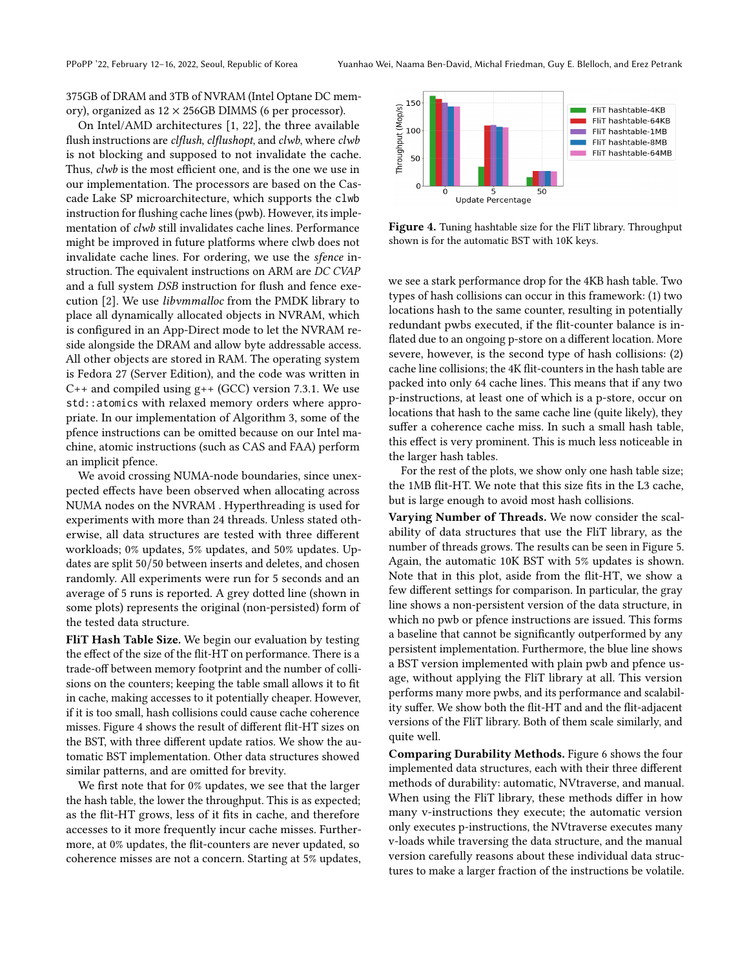375GB of DRAM and 3TB of NVRAM (Intel Optane DC memory), organized as  $12 \times 256$ GB DIMMS (6 per processor).

On Intel/AMD architectures [\[1,](#page-10-9) [22\]](#page-11-13), the three available flush instructions are clflush, clflushopt, and clwb, where clwb is not blocking and supposed to not invalidate the cache. Thus, clwb is the most efficient one, and is the one we use in our implementation. The processors are based on the Cascade Lake SP microarchitecture, which supports the clwb instruction for flushing cache lines (pwb). However, its implementation of clwb still invalidates cache lines. Performance might be improved in future platforms where clwb does not invalidate cache lines. For ordering, we use the sfence instruction. The equivalent instructions on ARM are DC CVAP and a full system DSB instruction for flush and fence execution [\[2\]](#page-10-10). We use libvmmalloc from the PMDK library to place all dynamically allocated objects in NVRAM, which is configured in an App-Direct mode to let the NVRAM reside alongside the DRAM and allow byte addressable access. All other objects are stored in RAM. The operating system is Fedora 27 (Server Edition), and the code was written in  $C++$  and compiled using  $g++$  (GCC) version 7.3.1. We use std::atomics with relaxed memory orders where appropriate. In our implementation of Algorithm [3,](#page-6-1) some of the pfence instructions can be omitted because on our Intel machine, atomic instructions (such as CAS and FAA) perform an implicit pfence.

We avoid crossing NUMA-node boundaries, since unexpected effects have been observed when allocating across NUMA nodes on the NVRAM . Hyperthreading is used for experiments with more than 24 threads. Unless stated otherwise, all data structures are tested with three different workloads; 0% updates, 5% updates, and 50% updates. Updates are split 50/50 between inserts and deletes, and chosen randomly. All experiments were run for 5 seconds and an average of 5 runs is reported. A grey dotted line (shown in some plots) represents the original (non-persisted) form of the tested data structure.

FliT Hash Table Size. We begin our evaluation by testing the effect of the size of the flit-HT on performance. There is a trade-off between memory footprint and the number of collisions on the counters; keeping the table small allows it to fit in cache, making accesses to it potentially cheaper. However, if it is too small, hash collisions could cause cache coherence misses. Figure [4](#page-7-0) shows the result of different flit-HT sizes on the BST, with three different update ratios. We show the automatic BST implementation. Other data structures showed similar patterns, and are omitted for brevity.

We first note that for 0% updates, we see that the larger the hash table, the lower the throughput. This is as expected; as the flit-HT grows, less of it fits in cache, and therefore accesses to it more frequently incur cache misses. Furthermore, at 0% updates, the flit-counters are never updated, so coherence misses are not a concern. Starting at 5% updates,

<span id="page-7-0"></span>

Figure 4. Tuning hashtable size for the FliT library. Throughput shown is for the automatic BST with 10K keys.

we see a stark performance drop for the 4KB hash table. Two types of hash collisions can occur in this framework: (1) two locations hash to the same counter, resulting in potentially redundant pwbs executed, if the flit-counter balance is inflated due to an ongoing p-store on a different location. More severe, however, is the second type of hash collisions: (2) cache line collisions; the 4K flit-counters in the hash table are packed into only 64 cache lines. This means that if any two p-instructions, at least one of which is a p-store, occur on locations that hash to the same cache line (quite likely), they suffer a coherence cache miss. In such a small hash table, this effect is very prominent. This is much less noticeable in the larger hash tables.

For the rest of the plots, we show only one hash table size; the 1MB flit-HT. We note that this size fits in the L3 cache, but is large enough to avoid most hash collisions.

Varying Number of Threads. We now consider the scalability of data structures that use the FliT library, as the number of threads grows. The results can be seen in Figure [5.](#page-8-1) Again, the automatic 10K BST with 5% updates is shown. Note that in this plot, aside from the flit-HT, we show a few different settings for comparison. In particular, the gray line shows a non-persistent version of the data structure, in which no pwb or pfence instructions are issued. This forms a baseline that cannot be significantly outperformed by any persistent implementation. Furthermore, the blue line shows a BST version implemented with plain pwb and pfence usage, without applying the FliT library at all. This version performs many more pwbs, and its performance and scalability suffer. We show both the flit-HT and and the flit-adjacent versions of the FliT library. Both of them scale similarly, and quite well.

Comparing Durability Methods. Figure [6](#page-9-0) shows the four implemented data structures, each with their three different methods of durability: automatic, NVtraverse, and manual. When using the FliT library, these methods differ in how many v-instructions they execute; the automatic version only executes p-instructions, the NVtraverse executes many v-loads while traversing the data structure, and the manual version carefully reasons about these individual data structures to make a larger fraction of the instructions be volatile.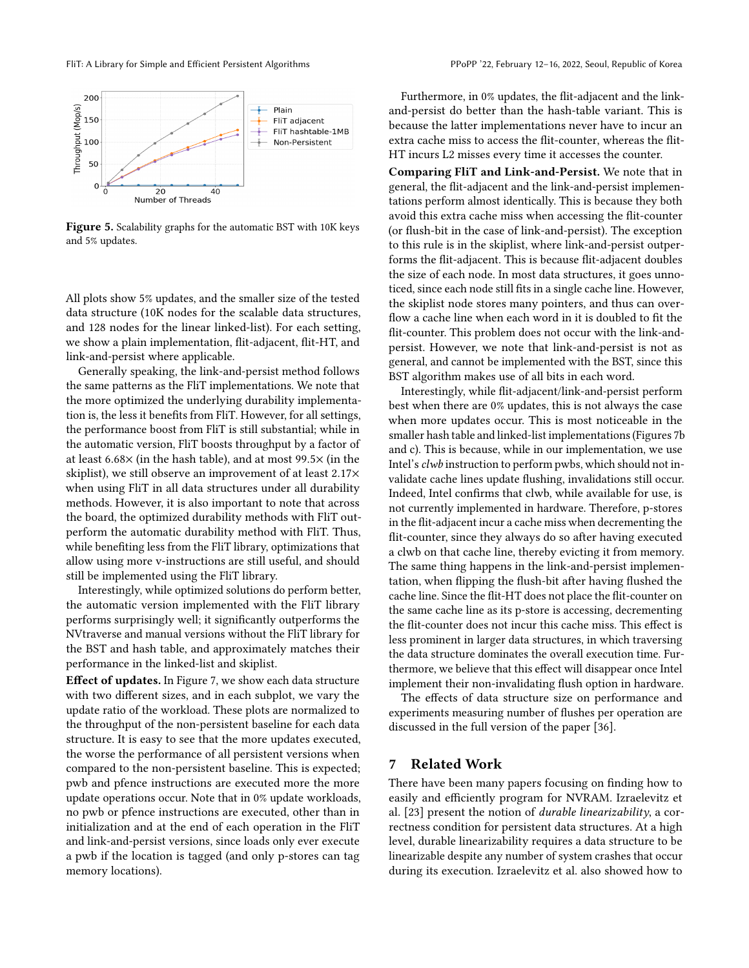<span id="page-8-1"></span>

Figure 5. Scalability graphs for the automatic BST with 10K keys and 5% updates.

All plots show 5% updates, and the smaller size of the tested data structure (10K nodes for the scalable data structures, and 128 nodes for the linear linked-list). For each setting, we show a plain implementation, flit-adjacent, flit-HT, and link-and-persist where applicable.

Generally speaking, the link-and-persist method follows the same patterns as the FliT implementations. We note that the more optimized the underlying durability implementation is, the less it benefits from FliT. However, for all settings, the performance boost from FliT is still substantial; while in the automatic version, FliT boosts throughput by a factor of at least 6.68× (in the hash table), and at most 99.5× (in the skiplist), we still observe an improvement of at least 2.17× when using FliT in all data structures under all durability methods. However, it is also important to note that across the board, the optimized durability methods with FliT outperform the automatic durability method with FliT. Thus, while benefiting less from the FliT library, optimizations that allow using more v-instructions are still useful, and should still be implemented using the FliT library.

Interestingly, while optimized solutions do perform better, the automatic version implemented with the FliT library performs surprisingly well; it significantly outperforms the NVtraverse and manual versions without the FliT library for the BST and hash table, and approximately matches their performance in the linked-list and skiplist.

Effect of updates. In Figure [7,](#page-9-1) we show each data structure with two different sizes, and in each subplot, we vary the update ratio of the workload. These plots are normalized to the throughput of the non-persistent baseline for each data structure. It is easy to see that the more updates executed, the worse the performance of all persistent versions when compared to the non-persistent baseline. This is expected; pwb and pfence instructions are executed more the more update operations occur. Note that in 0% update workloads, no pwb or pfence instructions are executed, other than in initialization and at the end of each operation in the FliT and link-and-persist versions, since loads only ever execute a pwb if the location is tagged (and only p-stores can tag memory locations).

Furthermore, in 0% updates, the flit-adjacent and the linkand-persist do better than the hash-table variant. This is because the latter implementations never have to incur an extra cache miss to access the flit-counter, whereas the flit-HT incurs L2 misses every time it accesses the counter.

Comparing FliT and Link-and-Persist. We note that in general, the flit-adjacent and the link-and-persist implementations perform almost identically. This is because they both avoid this extra cache miss when accessing the flit-counter (or flush-bit in the case of link-and-persist). The exception to this rule is in the skiplist, where link-and-persist outperforms the flit-adjacent. This is because flit-adjacent doubles the size of each node. In most data structures, it goes unnoticed, since each node still fits in a single cache line. However, the skiplist node stores many pointers, and thus can overflow a cache line when each word in it is doubled to fit the flit-counter. This problem does not occur with the link-andpersist. However, we note that link-and-persist is not as general, and cannot be implemented with the BST, since this BST algorithm makes use of all bits in each word.

Interestingly, while flit-adjacent/link-and-persist perform best when there are 0% updates, this is not always the case when more updates occur. This is most noticeable in the smaller hash table and linked-list implementations (Figures [7b](#page-9-1) and c). This is because, while in our implementation, we use Intel's clwb instruction to perform pwbs, which should not invalidate cache lines update flushing, invalidations still occur. Indeed, Intel confirms that clwb, while available for use, is not currently implemented in hardware. Therefore, p-stores in the flit-adjacent incur a cache miss when decrementing the flit-counter, since they always do so after having executed a clwb on that cache line, thereby evicting it from memory. The same thing happens in the link-and-persist implementation, when flipping the flush-bit after having flushed the cache line. Since the flit-HT does not place the flit-counter on the same cache line as its p-store is accessing, decrementing the flit-counter does not incur this cache miss. This effect is less prominent in larger data structures, in which traversing the data structure dominates the overall execution time. Furthermore, we believe that this effect will disappear once Intel implement their non-invalidating flush option in hardware.

The effects of data structure size on performance and experiments measuring number of flushes per operation are discussed in the full version of the paper [\[36\]](#page-11-12).

#### <span id="page-8-0"></span>7 Related Work

There have been many papers focusing on finding how to easily and efficiently program for NVRAM. Izraelevitz et al. [\[23\]](#page-11-8) present the notion of durable linearizability, a correctness condition for persistent data structures. At a high level, durable linearizability requires a data structure to be linearizable despite any number of system crashes that occur during its execution. Izraelevitz et al. also showed how to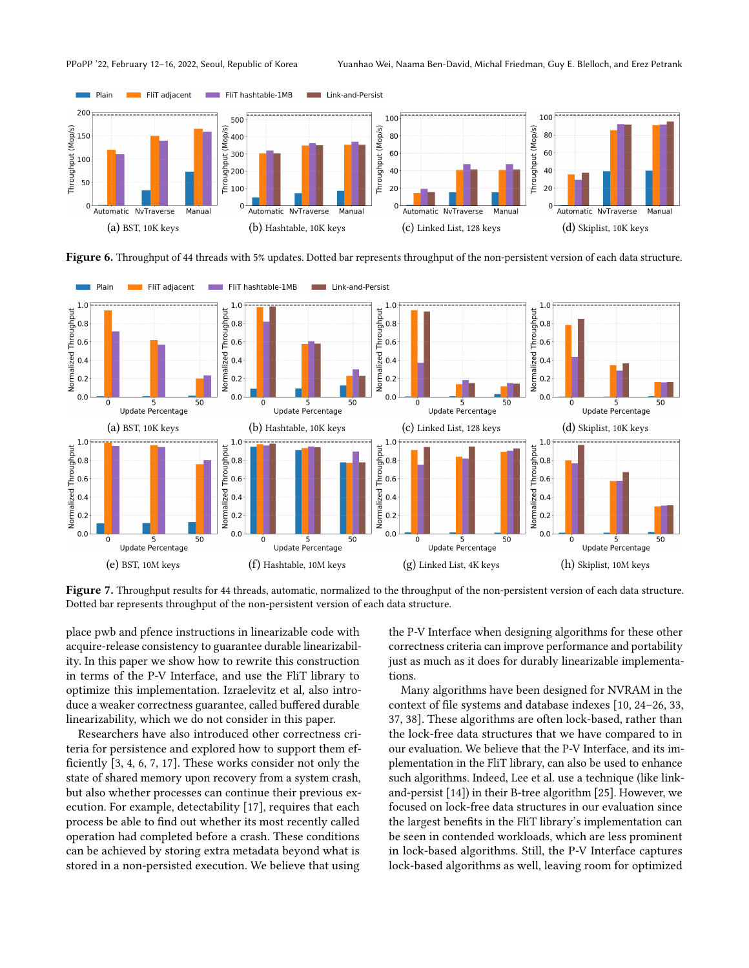

PPoPP '22, February 12–16, 2022, Seoul, Republic of Korea Yuanhao Wei, Naama Ben-David, Michal Friedman, Guy E. Blelloch, and Erez Petrank

<span id="page-9-0"></span>

Figure 6. Throughput of 44 threads with 5% updates. Dotted bar represents throughput of the non-persistent version of each data structure.

<span id="page-9-1"></span>

Figure 7. Throughput results for 44 threads, automatic, normalized to the throughput of the non-persistent version of each data structure. Dotted bar represents throughput of the non-persistent version of each data structure.

place pwb and pfence instructions in linearizable code with acquire-release consistency to guarantee durable linearizability. In this paper we show how to rewrite this construction in terms of the P-V Interface, and use the FliT library to optimize this implementation. Izraelevitz et al, also introduce a weaker correctness guarantee, called buffered durable linearizability, which we do not consider in this paper.

Researchers have also introduced other correctness criteria for persistence and explored how to support them efficiently [\[3,](#page-10-11) [4,](#page-10-12) [6,](#page-10-13) [7,](#page-10-14) [17\]](#page-10-3). These works consider not only the state of shared memory upon recovery from a system crash, but also whether processes can continue their previous execution. For example, detectability [\[17\]](#page-10-3), requires that each process be able to find out whether its most recently called operation had completed before a crash. These conditions can be achieved by storing extra metadata beyond what is stored in a non-persisted execution. We believe that using

the P-V Interface when designing algorithms for these other correctness criteria can improve performance and portability just as much as it does for durably linearizable implementations.

Many algorithms have been designed for NVRAM in the context of file systems and database indexes [\[10,](#page-10-15) [24–](#page-11-0)[26,](#page-11-14) [33,](#page-11-15) [37,](#page-11-3) [38\]](#page-11-16). These algorithms are often lock-based, rather than the lock-free data structures that we have compared to in our evaluation. We believe that the P-V Interface, and its implementation in the FliT library, can also be used to enhance such algorithms. Indeed, Lee et al. use a technique (like linkand-persist [\[14\]](#page-10-4)) in their B-tree algorithm [\[25\]](#page-11-1). However, we focused on lock-free data structures in our evaluation since the largest benefits in the FliT library's implementation can be seen in contended workloads, which are less prominent in lock-based algorithms. Still, the P-V Interface captures lock-based algorithms as well, leaving room for optimized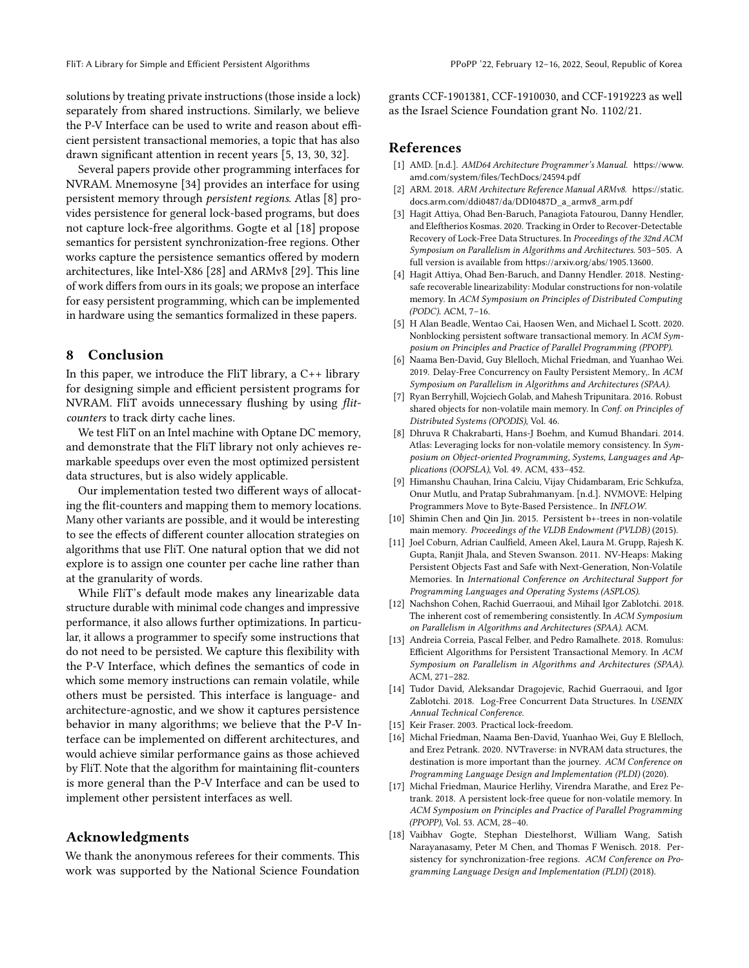solutions by treating private instructions (those inside a lock) separately from shared instructions. Similarly, we believe the P-V Interface can be used to write and reason about efficient persistent transactional memories, a topic that has also drawn significant attention in recent years [\[5,](#page-10-16) [13,](#page-10-1) [30,](#page-11-2) [32\]](#page-11-17).

Several papers provide other programming interfaces for NVRAM. Mnemosyne [\[34\]](#page-11-18) provides an interface for using persistent memory through persistent regions. Atlas [\[8\]](#page-10-17) provides persistence for general lock-based programs, but does not capture lock-free algorithms. Gogte et al [\[18\]](#page-10-18) propose semantics for persistent synchronization-free regions. Other works capture the persistence semantics offered by modern architectures, like Intel-X86 [\[28\]](#page-11-19) and ARMv8 [\[29\]](#page-11-20). This line of work differs from ours in its goals; we propose an interface for easy persistent programming, which can be implemented in hardware using the semantics formalized in these papers.

#### <span id="page-10-7"></span>8 Conclusion

In this paper, we introduce the FliT library, a  $C_{++}$  library for designing simple and efficient persistent programs for NVRAM. FliT avoids unnecessary flushing by using flitcounters to track dirty cache lines.

We test FliT on an Intel machine with Optane DC memory, and demonstrate that the FliT library not only achieves remarkable speedups over even the most optimized persistent data structures, but is also widely applicable.

Our implementation tested two different ways of allocating the flit-counters and mapping them to memory locations. Many other variants are possible, and it would be interesting to see the effects of different counter allocation strategies on algorithms that use FliT. One natural option that we did not explore is to assign one counter per cache line rather than at the granularity of words.

While FliT's default mode makes any linearizable data structure durable with minimal code changes and impressive performance, it also allows further optimizations. In particular, it allows a programmer to specify some instructions that do not need to be persisted. We capture this flexibility with the P-V Interface, which defines the semantics of code in which some memory instructions can remain volatile, while others must be persisted. This interface is language- and architecture-agnostic, and we show it captures persistence behavior in many algorithms; we believe that the P-V Interface can be implemented on different architectures, and would achieve similar performance gains as those achieved by FliT. Note that the algorithm for maintaining flit-counters is more general than the P-V Interface and can be used to implement other persistent interfaces as well.

#### Acknowledgments

We thank the anonymous referees for their comments. This work was supported by the National Science Foundation

grants CCF-1901381, CCF-1910030, and CCF-1919223 as well as the Israel Science Foundation grant No. 1102/21.

## References

- <span id="page-10-9"></span>[1] AMD. [n.d.]. AMD64 Architecture Programmer's Manual. [https://www.](https://www.amd.com/system/files/TechDocs/24594.pdf) [amd.com/system/files/TechDocs/24594.pdf](https://www.amd.com/system/files/TechDocs/24594.pdf)
- <span id="page-10-10"></span>[2] ARM. 2018. ARM Architecture Reference Manual ARMv8. [https://static.](https://static.docs.arm.com/ddi0487/da/DDI0487D_a_armv8_arm.pdf) [docs.arm.com/ddi0487/da/DDI0487D\\_a\\_armv8\\_arm.pdf](https://static.docs.arm.com/ddi0487/da/DDI0487D_a_armv8_arm.pdf)
- <span id="page-10-11"></span>[3] Hagit Attiya, Ohad Ben-Baruch, Panagiota Fatourou, Danny Hendler, and Eleftherios Kosmas. 2020. Tracking in Order to Recover-Detectable Recovery of Lock-Free Data Structures. In Proceedings of the 32nd ACM Symposium on Parallelism in Algorithms and Architectures. 503–505. A full version is available from <https://arxiv.org/abs/1905.13600>.
- <span id="page-10-12"></span>[4] Hagit Attiya, Ohad Ben-Baruch, and Danny Hendler. 2018. Nestingsafe recoverable linearizability: Modular constructions for non-volatile memory. In ACM Symposium on Principles of Distributed Computing (PODC). ACM, 7–16.
- <span id="page-10-16"></span>[5] H Alan Beadle, Wentao Cai, Haosen Wen, and Michael L Scott. 2020. Nonblocking persistent software transactional memory. In ACM Symposium on Principles and Practice of Parallel Programming (PPOPP).
- <span id="page-10-13"></span>[6] Naama Ben-David, Guy Blelloch, Michal Friedman, and Yuanhao Wei. 2019. Delay-Free Concurrency on Faulty Persistent Memory,. In ACM Symposium on Parallelism in Algorithms and Architectures (SPAA).
- <span id="page-10-14"></span>[7] Ryan Berryhill, Wojciech Golab, and Mahesh Tripunitara. 2016. Robust shared objects for non-volatile main memory. In Conf. on Principles of Distributed Systems (OPODIS), Vol. 46.
- <span id="page-10-17"></span>[8] Dhruva R Chakrabarti, Hans-J Boehm, and Kumud Bhandari. 2014. Atlas: Leveraging locks for non-volatile memory consistency. In Symposium on Object-oriented Programming, Systems, Languages and Applications (OOPSLA), Vol. 49. ACM, 433–452.
- <span id="page-10-0"></span>[9] Himanshu Chauhan, Irina Calciu, Vijay Chidambaram, Eric Schkufza, Onur Mutlu, and Pratap Subrahmanyam. [n.d.]. NVMOVE: Helping Programmers Move to Byte-Based Persistence.. In INFLOW.
- <span id="page-10-15"></span>[10] Shimin Chen and Qin Jin. 2015. Persistent b+-trees in non-volatile main memory. Proceedings of the VLDB Endowment (PVLDB) (2015).
- <span id="page-10-5"></span>[11] Joel Coburn, Adrian Caulfield, Ameen Akel, Laura M. Grupp, Rajesh K. Gupta, Ranjit Jhala, and Steven Swanson. 2011. NV-Heaps: Making Persistent Objects Fast and Safe with Next-Generation, Non-Volatile Memories. In International Conference on Architectural Support for Programming Languages and Operating Systems (ASPLOS).
- <span id="page-10-6"></span>[12] Nachshon Cohen, Rachid Guerraoui, and Mihail Igor Zablotchi. 2018. The inherent cost of remembering consistently. In ACM Symposium on Parallelism in Algorithms and Architectures (SPAA). ACM.
- <span id="page-10-1"></span>[13] Andreia Correia, Pascal Felber, and Pedro Ramalhete. 2018. Romulus: Efficient Algorithms for Persistent Transactional Memory. In ACM Symposium on Parallelism in Algorithms and Architectures (SPAA). ACM, 271–282.
- <span id="page-10-4"></span>[14] Tudor David, Aleksandar Dragojevic, Rachid Guerraoui, and Igor Zablotchi. 2018. Log-Free Concurrent Data Structures. In USENIX Annual Technical Conference.
- <span id="page-10-8"></span>[15] Keir Fraser. 2003. Practical lock-freedom.
- <span id="page-10-2"></span>[16] Michal Friedman, Naama Ben-David, Yuanhao Wei, Guy E Blelloch, and Erez Petrank. 2020. NVTraverse: in NVRAM data structures, the destination is more important than the journey. ACM Conference on Programming Language Design and Implementation (PLDI) (2020).
- <span id="page-10-3"></span>[17] Michal Friedman, Maurice Herlihy, Virendra Marathe, and Erez Petrank. 2018. A persistent lock-free queue for non-volatile memory. In ACM Symposium on Principles and Practice of Parallel Programming (PPOPP), Vol. 53. ACM, 28–40.
- <span id="page-10-18"></span>[18] Vaibhav Gogte, Stephan Diestelhorst, William Wang, Satish Narayanasamy, Peter M Chen, and Thomas F Wenisch. 2018. Persistency for synchronization-free regions. ACM Conference on Programming Language Design and Implementation (PLDI) (2018).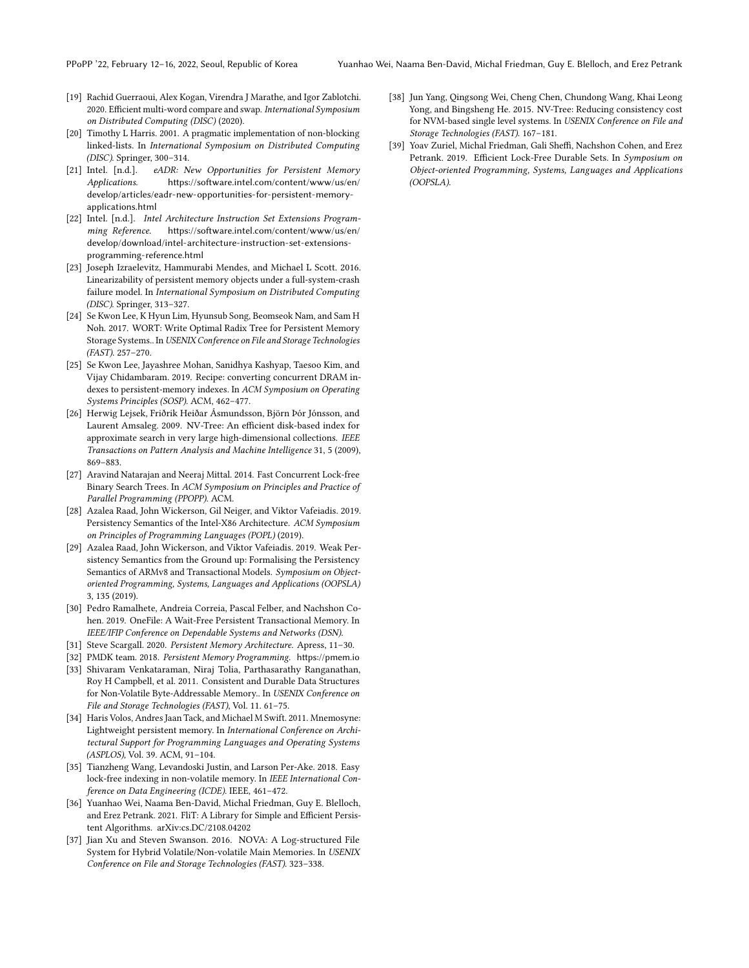- <span id="page-11-6"></span>[19] Rachid Guerraoui, Alex Kogan, Virendra J Marathe, and Igor Zablotchi. 2020. Efficient multi-word compare and swap. International Symposium on Distributed Computing (DISC) (2020).
- <span id="page-11-9"></span>[20] Timothy L Harris. 2001. A pragmatic implementation of non-blocking linked-lists. In International Symposium on Distributed Computing (DISC). Springer, 300–314.
- <span id="page-11-4"></span>[21] Intel. [n.d.]. eADR: New Opportunities for Persistent Memory Applications. [https://software.intel.com/content/www/us/en/](https://software.intel.com/content/www/us/en/develop/articles/eadr-new-opportunities-for-persistent-memory-applications.html) [develop/articles/eadr-new-opportunities-for-persistent-memory](https://software.intel.com/content/www/us/en/develop/articles/eadr-new-opportunities-for-persistent-memory-applications.html)[applications.html](https://software.intel.com/content/www/us/en/develop/articles/eadr-new-opportunities-for-persistent-memory-applications.html)
- <span id="page-11-13"></span>[22] Intel. [n.d.]. Intel Architecture Instruction Set Extensions Programming Reference. [https://software.intel.com/content/www/us/en/](https://software.intel.com/content/www/us/en/develop/download/intel-architecture-instruction-set-extensions-programming-reference.html) [develop/download/intel-architecture-instruction-set-extensions](https://software.intel.com/content/www/us/en/develop/download/intel-architecture-instruction-set-extensions-programming-reference.html)[programming-reference.html](https://software.intel.com/content/www/us/en/develop/download/intel-architecture-instruction-set-extensions-programming-reference.html)
- <span id="page-11-8"></span>[23] Joseph Izraelevitz, Hammurabi Mendes, and Michael L Scott. 2016. Linearizability of persistent memory objects under a full-system-crash failure model. In International Symposium on Distributed Computing (DISC). Springer, 313–327.
- <span id="page-11-0"></span>[24] Se Kwon Lee, K Hyun Lim, Hyunsub Song, Beomseok Nam, and Sam H Noh. 2017. WORT: Write Optimal Radix Tree for Persistent Memory Storage Systems.. In USENIX Conference on File and Storage Technologies (FAST). 257–270.
- <span id="page-11-1"></span>[25] Se Kwon Lee, Jayashree Mohan, Sanidhya Kashyap, Taesoo Kim, and Vijay Chidambaram. 2019. Recipe: converting concurrent DRAM indexes to persistent-memory indexes. In ACM Symposium on Operating Systems Principles (SOSP). ACM, 462–477.
- <span id="page-11-14"></span>[26] Herwig Lejsek, Friðrik Heiðar Ásmundsson, Björn Þór Jónsson, and Laurent Amsaleg. 2009. NV-Tree: An efficient disk-based index for approximate search in very large high-dimensional collections. IEEE Transactions on Pattern Analysis and Machine Intelligence 31, 5 (2009), 869–883.
- <span id="page-11-10"></span>[27] Aravind Natarajan and Neeraj Mittal. 2014. Fast Concurrent Lock-free Binary Search Trees. In ACM Symposium on Principles and Practice of Parallel Programming (PPOPP). ACM.
- <span id="page-11-19"></span>[28] Azalea Raad, John Wickerson, Gil Neiger, and Viktor Vafeiadis. 2019. Persistency Semantics of the Intel-X86 Architecture. ACM Symposium on Principles of Programming Languages (POPL) (2019).
- <span id="page-11-20"></span>[29] Azalea Raad, John Wickerson, and Viktor Vafeiadis. 2019. Weak Persistency Semantics from the Ground up: Formalising the Persistency Semantics of ARMv8 and Transactional Models. Symposium on Objectoriented Programming, Systems, Languages and Applications (OOPSLA) 3, 135 (2019).
- <span id="page-11-2"></span>[30] Pedro Ramalhete, Andreia Correia, Pascal Felber, and Nachshon Cohen. 2019. OneFile: A Wait-Free Persistent Transactional Memory. In IEEE/IFIP Conference on Dependable Systems and Networks (DSN).
- <span id="page-11-5"></span>[31] Steve Scargall. 2020. Persistent Memory Architecture. Apress, 11–30.
- <span id="page-11-17"></span><span id="page-11-15"></span>[32] PMDK team. 2018. Persistent Memory Programming. [https://pmem.io](https:// pmem.io) [33] Shivaram Venkataraman, Niraj Tolia, Parthasarathy Ranganathan, Roy H Campbell, et al. 2011. Consistent and Durable Data Structures
- for Non-Volatile Byte-Addressable Memory.. In USENIX Conference on File and Storage Technologies (FAST), Vol. 11. 61–75.
- <span id="page-11-18"></span>[34] Haris Volos, Andres Jaan Tack, and Michael M Swift. 2011. Mnemosyne: Lightweight persistent memory. In International Conference on Architectural Support for Programming Languages and Operating Systems (ASPLOS), Vol. 39. ACM, 91–104.
- <span id="page-11-7"></span>[35] Tianzheng Wang, Levandoski Justin, and Larson Per-Ake. 2018. Easy lock-free indexing in non-volatile memory. In IEEE International Conference on Data Engineering (ICDE). IEEE, 461–472.
- <span id="page-11-12"></span>[36] Yuanhao Wei, Naama Ben-David, Michal Friedman, Guy E. Blelloch, and Erez Petrank. 2021. FliT: A Library for Simple and Efficient Persistent Algorithms. arXiv[:cs.DC/2108.04202](https://arxiv.org/abs/cs.DC/2108.04202)
- <span id="page-11-3"></span>[37] Jian Xu and Steven Swanson. 2016. NOVA: A Log-structured File System for Hybrid Volatile/Non-volatile Main Memories. In USENIX Conference on File and Storage Technologies (FAST). 323–338.
- <span id="page-11-16"></span>[38] Jun Yang, Qingsong Wei, Cheng Chen, Chundong Wang, Khai Leong Yong, and Bingsheng He. 2015. NV-Tree: Reducing consistency cost for NVM-based single level systems. In USENIX Conference on File and Storage Technologies (FAST). 167–181.
- <span id="page-11-11"></span>[39] Yoav Zuriel, Michal Friedman, Gali Sheffi, Nachshon Cohen, and Erez Petrank. 2019. Efficient Lock-Free Durable Sets. In Symposium on Object-oriented Programming, Systems, Languages and Applications (OOPSLA).